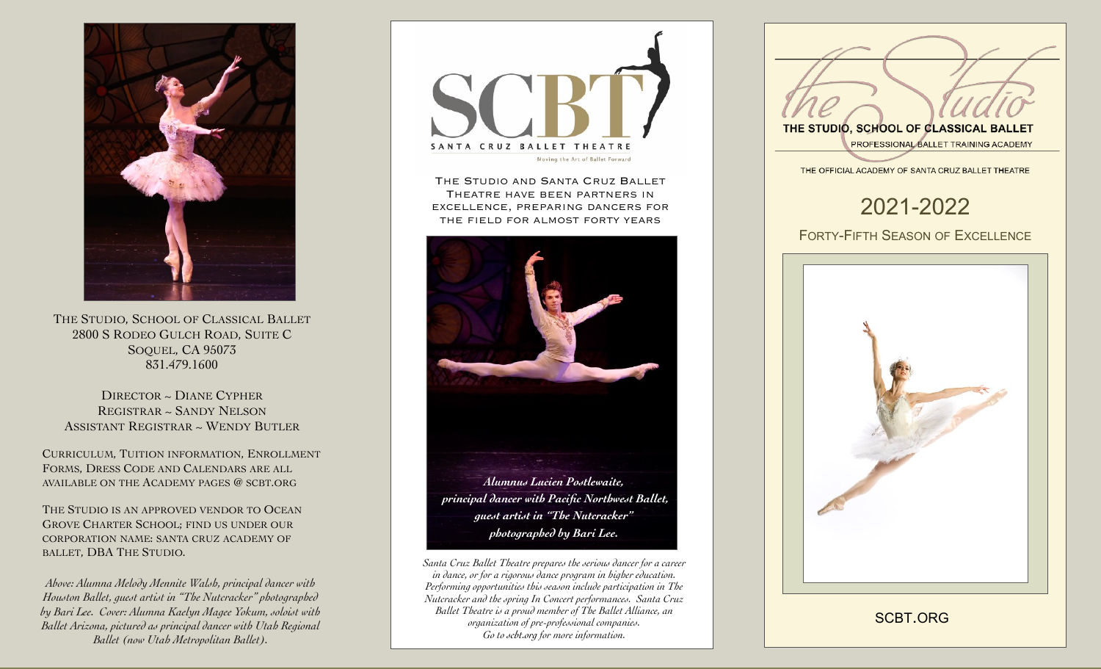

THE STUDIO, SCHOOL OF CLASSICAL BALLET 2800 S RODEO GULCH ROAD, SUITE C SOQUEL, CA 95073 831.479.1600

DIRECTOR ~ DIANE CYPHER REGISTRAR ~ SANDY NELSON ASSISTANT REGISTRAR ~ WENDY BUTLER

CURRICULUM, TUITION INFORMATION, ENROLLMENT FORMS, DRESS CODE AND CALENDARS ARE ALL AVAILABLE ON THE ACADEMY PAGES @ SCBT.ORG

THE STUDIO IS AN APPROVED VENDOR TO OCEAN GROVE CHARTER SCHOOL; FIND US UNDER OUR CORPORATION NAME: SANTA CRUZ ACADEMY OF BALLET, DBA THE STUDIO.

*Above: Alumna Melody Mennite Walsh, principal dancer with Houston Ballet, guest artist in "The Nutcracker" photographed by Bari Lee. Cover: Alumna Kaelyn Magee Yokum, soloist with Ballet Arizona, pictured as principal dancer with Utah Regional Ballet (now Utah Metropolitan Ballet).* 



The Studio and Santa Cruz Ballet Theatre have been partners in excellence, preparing dancers for the field for almost forty years



*Santa Cruz Ballet Theatre prepares the serious dancer for a career in dance, or for a rigorous dance program in higher education. Performing opportunities this season include participation in The Nutcracker and the spring In Concert performances. Santa Cruz Ballet Theatre is a proud member of The Ballet Alliance, an organization of pre-professional companies. Go to [scbt.org](http://scbt.org) for more information.*



[SCBT.ORG](http://scbt.org)